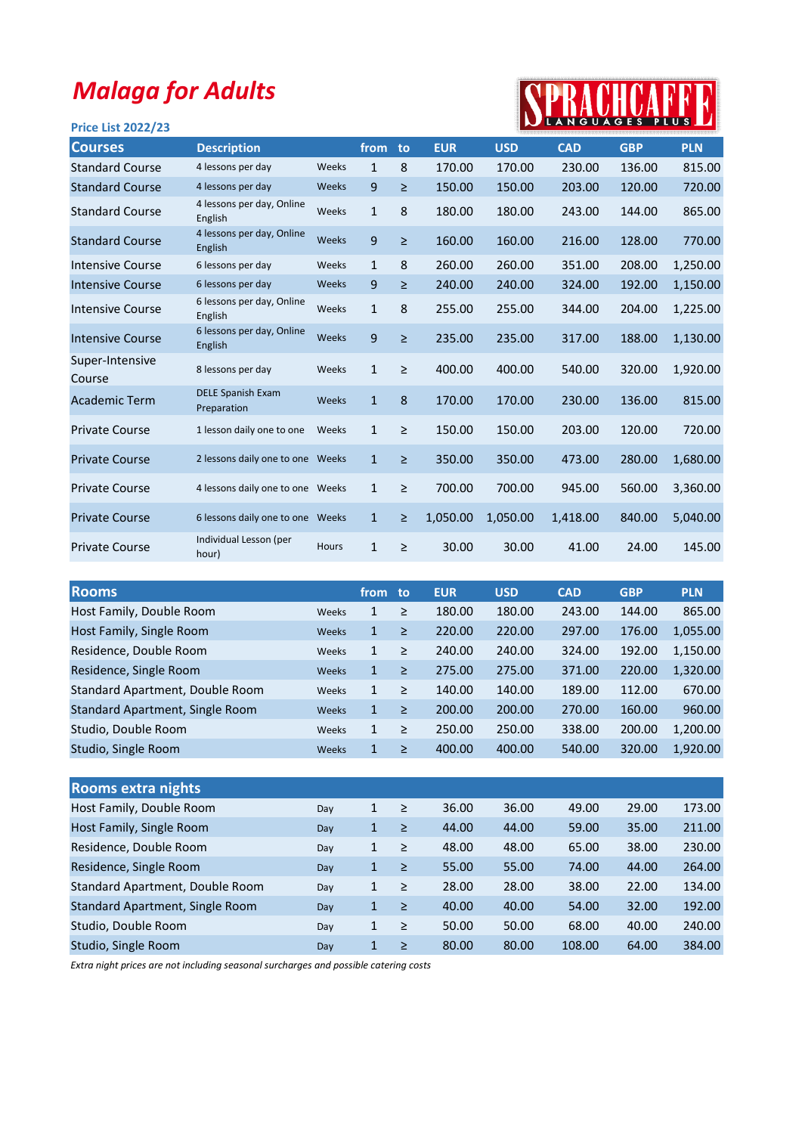## Malaga for Adults

## SPRACHCAFFE

| <b>Price List 2022/23</b> |                                         |              |              |        |            |            | <b>INTEANGUAGES PLUS</b> |            |            |
|---------------------------|-----------------------------------------|--------------|--------------|--------|------------|------------|--------------------------|------------|------------|
| <b>Courses</b>            | <b>Description</b>                      |              | from         | to     | <b>EUR</b> | <b>USD</b> | <b>CAD</b>               | <b>GBP</b> | <b>PLN</b> |
| <b>Standard Course</b>    | 4 lessons per day                       | Weeks        | $\mathbf{1}$ | 8      | 170.00     | 170.00     | 230.00                   | 136.00     | 815.00     |
| <b>Standard Course</b>    | 4 lessons per day                       | Weeks        | 9            | $\geq$ | 150.00     | 150.00     | 203.00                   | 120.00     | 720.00     |
| <b>Standard Course</b>    | 4 lessons per day, Online<br>English    | Weeks        | $\mathbf{1}$ | 8      | 180.00     | 180.00     | 243.00                   | 144.00     | 865.00     |
| <b>Standard Course</b>    | 4 lessons per day, Online<br>English    | Weeks        | 9            | $\geq$ | 160.00     | 160.00     | 216.00                   | 128.00     | 770.00     |
| <b>Intensive Course</b>   | 6 lessons per day                       | Weeks        | $\mathbf{1}$ | 8      | 260.00     | 260.00     | 351.00                   | 208.00     | 1,250.00   |
| <b>Intensive Course</b>   | 6 lessons per day                       | Weeks        | 9            | ≥      | 240.00     | 240.00     | 324.00                   | 192.00     | 1,150.00   |
| Intensive Course          | 6 lessons per day, Online<br>English    | Weeks        | $\mathbf{1}$ | 8      | 255.00     | 255.00     | 344.00                   | 204.00     | 1,225.00   |
| <b>Intensive Course</b>   | 6 lessons per day, Online<br>English    | Weeks        | 9            | $\geq$ | 235.00     | 235.00     | 317.00                   | 188.00     | 1,130.00   |
| Super-Intensive<br>Course | 8 lessons per day                       | Weeks        | $\mathbf{1}$ | $\geq$ | 400.00     | 400.00     | 540.00                   | 320.00     | 1,920.00   |
| <b>Academic Term</b>      | <b>DELE Spanish Exam</b><br>Preparation | Weeks        | $\mathbf{1}$ | 8      | 170.00     | 170.00     | 230.00                   | 136.00     | 815.00     |
| <b>Private Course</b>     | 1 lesson daily one to one               | Weeks        | $\mathbf{1}$ | $\geq$ | 150.00     | 150.00     | 203.00                   | 120.00     | 720.00     |
| <b>Private Course</b>     | 2 lessons daily one to one Weeks        |              | $\mathbf{1}$ | $\geq$ | 350.00     | 350.00     | 473.00                   | 280.00     | 1,680.00   |
| <b>Private Course</b>     | 4 lessons daily one to one Weeks        |              | $\mathbf{1}$ | $\geq$ | 700.00     | 700.00     | 945.00                   | 560.00     | 3,360.00   |
| <b>Private Course</b>     | 6 lessons daily one to one Weeks        |              | $\mathbf{1}$ | $\geq$ | 1,050.00   | 1,050.00   | 1,418.00                 | 840.00     | 5,040.00   |
| <b>Private Course</b>     | Individual Lesson (per<br>hour)         | <b>Hours</b> | $\mathbf{1}$ | $\geq$ | 30.00      | 30.00      | 41.00                    | 24.00      | 145.00     |

| <b>Rooms</b>                    |       | from         | to:    | <b>EUR</b> | <b>USD</b> | <b>CAD</b> | <b>GBP</b> | <b>PLN</b> |
|---------------------------------|-------|--------------|--------|------------|------------|------------|------------|------------|
| Host Family, Double Room        | Weeks | $\mathbf{1}$ | $\geq$ | 180.00     | 180.00     | 243.00     | 144.00     | 865.00     |
| Host Family, Single Room        | Weeks | $\mathbf 1$  | $\geq$ | 220.00     | 220.00     | 297.00     | 176.00     | 1,055.00   |
| Residence, Double Room          | Weeks | $\mathbf{1}$ | ≥      | 240.00     | 240.00     | 324.00     | 192.00     | 1,150.00   |
| Residence, Single Room          | Weeks | $\mathbf{1}$ | $\geq$ | 275.00     | 275.00     | 371.00     | 220.00     | 1,320.00   |
| Standard Apartment, Double Room | Weeks | $\mathbf{1}$ | $\geq$ | 140.00     | 140.00     | 189.00     | 112.00     | 670.00     |
| Standard Apartment, Single Room | Weeks | $\mathbf{1}$ | $\geq$ | 200.00     | 200.00     | 270.00     | 160.00     | 960.00     |
| Studio, Double Room             | Weeks | $\mathbf{1}$ | ≥      | 250.00     | 250.00     | 338.00     | 200.00     | 1,200.00   |
| Studio, Single Room             | Weeks | 1            | ≥      | 400.00     | 400.00     | 540.00     | 320.00     | 1.920.00   |

| <b>Rooms extra nights</b>       |     |              |        |       |       |        |       |        |
|---------------------------------|-----|--------------|--------|-------|-------|--------|-------|--------|
| Host Family, Double Room        | Day | 1            | $\geq$ | 36.00 | 36.00 | 49.00  | 29.00 | 173.00 |
| Host Family, Single Room        | Day | $\mathbf{1}$ | $\geq$ | 44.00 | 44.00 | 59.00  | 35.00 | 211.00 |
| Residence, Double Room          | Day | $\mathbf{1}$ | $\geq$ | 48.00 | 48.00 | 65.00  | 38.00 | 230.00 |
| Residence, Single Room          | Day | $\mathbf 1$  | $\geq$ | 55.00 | 55.00 | 74.00  | 44.00 | 264.00 |
| Standard Apartment, Double Room | Day | $\mathbf{1}$ | $\geq$ | 28.00 | 28.00 | 38.00  | 22.00 | 134.00 |
| Standard Apartment, Single Room | Day | $\mathbf{1}$ | $\geq$ | 40.00 | 40.00 | 54.00  | 32.00 | 192.00 |
| Studio, Double Room             | Day | 1            | $\geq$ | 50.00 | 50.00 | 68.00  | 40.00 | 240.00 |
| Studio, Single Room             | Dav | $\mathbf{1}$ | ≥      | 80.00 | 80.00 | 108.00 | 64.00 | 384.00 |

Extra night prices are not including seasonal surcharges and possible catering costs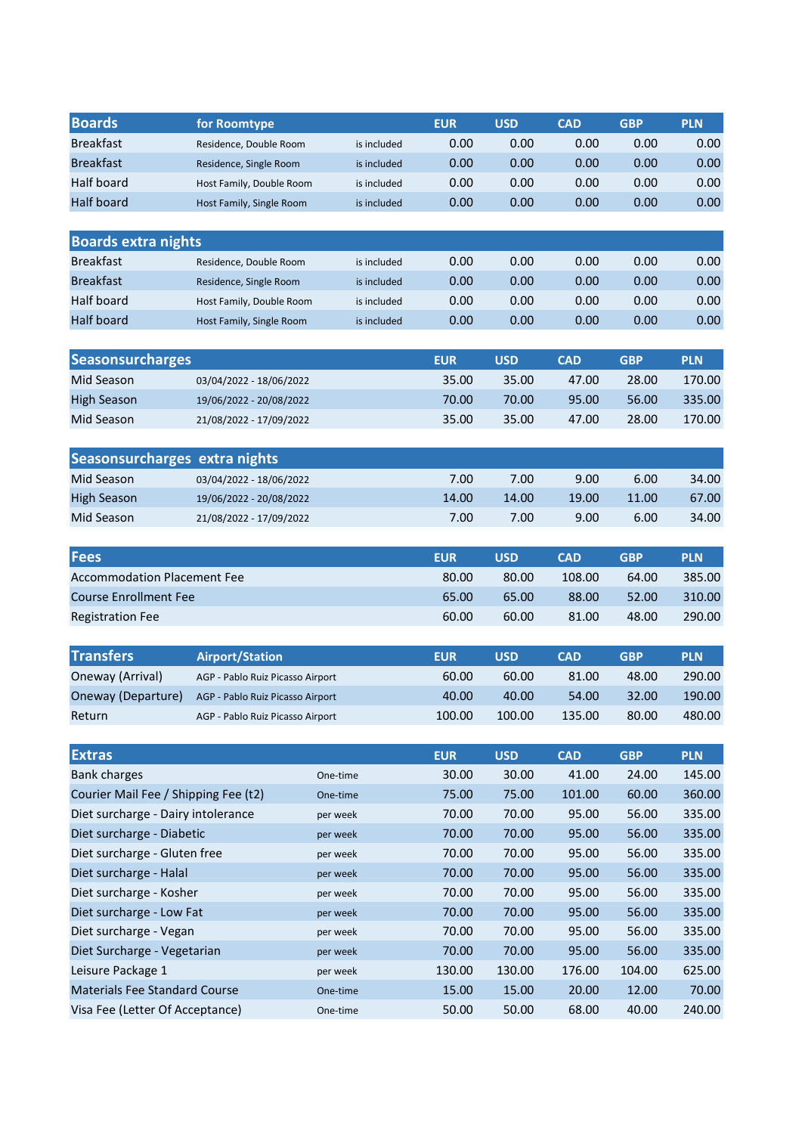| <b>Boards</b>              | for Roomtype             |             | <b>EUR</b> | <b>USD</b> | <b>CAD</b> | <b>GBP</b> | <b>PLN</b> |
|----------------------------|--------------------------|-------------|------------|------------|------------|------------|------------|
| <b>Breakfast</b>           | Residence, Double Room   | is included | 0.00       | 0.00       | 0.00       | 0.00       | 0.00       |
| <b>Breakfast</b>           | Residence, Single Room   | is included | 0.00       | 0.00       | 0.00       | 0.00       | 0.00       |
| Half board                 | Host Family, Double Room | is included | 0.00       | 0.00       | 0.00       | 0.00       | 0.00       |
| <b>Half board</b>          | Host Family, Single Room | is included | 0.00       | 0.00       | 0.00       | 0.00       | 0.00       |
|                            |                          |             |            |            |            |            |            |
| <b>Boards extra nights</b> |                          |             |            |            |            |            |            |
| <b>Breakfast</b>           | Residence, Double Room   | is included | 0.00       | 0.00       | 0.00       | 0.00       | 0.00       |
| <b>Breakfast</b>           | Residence, Single Room   | is included | 0.00       | 0.00       | 0.00       | 0.00       | 0.00       |
| Half board                 | Host Family, Double Room | is included | 0.00       | 0.00       | 0.00       | 0.00       | 0.00       |
| <b>Half board</b>          | Host Family, Single Room | is included | 0.00       | 0.00       | 0.00       | 0.00       | 0.00       |

| <b>Seasonsurcharges</b> |                         | <b>EUR</b> | USD   | <b>CAD</b> | GBP   | <b>PLN</b> |
|-------------------------|-------------------------|------------|-------|------------|-------|------------|
| Mid Season              | 03/04/2022 - 18/06/2022 | 35.00      | 35.00 | 47.00      | 28.00 | 170.00     |
| High Season             | 19/06/2022 - 20/08/2022 | 70.00      | 70.00 | 95.00      | 56.00 | 335.00     |
| Mid Season              | 21/08/2022 - 17/09/2022 | 35.00      | 35.00 | 47.00      | 28.00 | 170.00     |

| Seasonsurcharges extra nights |                         |       |                   |       |       |       |
|-------------------------------|-------------------------|-------|-------------------|-------|-------|-------|
| Mid Season                    | 03/04/2022 - 18/06/2022 | 7.00  | 7.00 <sub>1</sub> | 9.00  | 6.00  | 34.00 |
| High Season                   | 19/06/2022 - 20/08/2022 | 14.00 | 14.00             | 19.00 | 11.00 | 67.00 |
| Mid Season                    | 21/08/2022 - 17/09/2022 | 7.00  | 7.00              | 9.00  | 6.00  | 34.00 |

| <b>Fees</b>                        | <b>EUR</b> | <b>USD</b> | <b>CAD</b> | <b>GBP</b> | <b>PLN</b> |
|------------------------------------|------------|------------|------------|------------|------------|
| <b>Accommodation Placement Fee</b> | 80.00      | 80.00      | 108.00     | 64.00      | 385.00     |
| <b>Course Enrollment Fee</b>       | 65.00      | 65.00      | 88.00      | 52.00      | 310.00     |
| <b>Registration Fee</b>            | 60.00      | 60.00      | 81.00      | 48.00      | 290.00     |

| <b>Transfers</b>   | <b>Airport/Station</b>           | <b>EUR</b> | <b>USD</b> | <b>CAD</b> | <b>GBP</b> | <b>PLN</b> |
|--------------------|----------------------------------|------------|------------|------------|------------|------------|
| Oneway (Arrival)   | AGP - Pablo Ruiz Picasso Airport | 60.00      | 60.00      | 81.00      | 48.00      | 290.00     |
| Oneway (Departure) | AGP - Pablo Ruiz Picasso Airport | 40.00      | 40.00      | 54.00      | 32.00      | 190.00     |
| Return             | AGP - Pablo Ruiz Picasso Airport | 100.00     | 100.00     | 135.00     | 80.00      | 480.00     |

| <b>Extras</b>                        |          | <b>EUR</b> | <b>USD</b> | <b>CAD</b> | <b>GBP</b> | <b>PLN</b> |
|--------------------------------------|----------|------------|------------|------------|------------|------------|
| <b>Bank charges</b>                  | One-time | 30.00      | 30.00      | 41.00      | 24.00      | 145.00     |
| Courier Mail Fee / Shipping Fee (t2) | One-time | 75.00      | 75.00      | 101.00     | 60.00      | 360.00     |
| Diet surcharge - Dairy intolerance   | per week | 70.00      | 70.00      | 95.00      | 56.00      | 335.00     |
| Diet surcharge - Diabetic            | per week | 70.00      | 70.00      | 95.00      | 56.00      | 335.00     |
| Diet surcharge - Gluten free         | per week | 70.00      | 70.00      | 95.00      | 56.00      | 335.00     |
| Diet surcharge - Halal               | per week | 70.00      | 70.00      | 95.00      | 56.00      | 335.00     |
| Diet surcharge - Kosher              | per week | 70.00      | 70.00      | 95.00      | 56.00      | 335.00     |
| Diet surcharge - Low Fat             | per week | 70.00      | 70.00      | 95.00      | 56.00      | 335.00     |
| Diet surcharge - Vegan               | per week | 70.00      | 70.00      | 95.00      | 56.00      | 335.00     |
| Diet Surcharge - Vegetarian          | per week | 70.00      | 70.00      | 95.00      | 56.00      | 335.00     |
| Leisure Package 1                    | per week | 130.00     | 130.00     | 176.00     | 104.00     | 625.00     |
| Materials Fee Standard Course        | One-time | 15.00      | 15.00      | 20.00      | 12.00      | 70.00      |
| Visa Fee (Letter Of Acceptance)      | One-time | 50.00      | 50.00      | 68.00      | 40.00      | 240.00     |